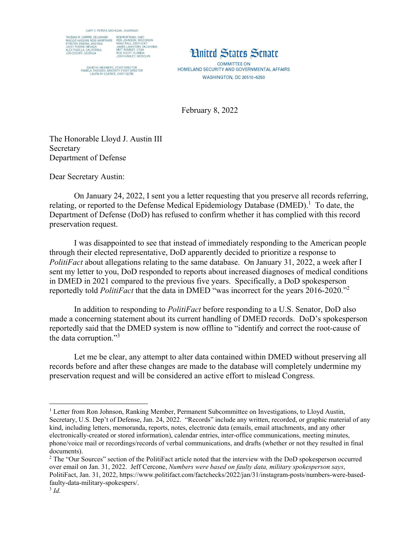



COMMITTEE ON HOMELAND SECURITY AND GOVERNMENTAL AFFAIRS **WASHINGTON, DC 20510-6250** 

February 8, 2022

The Honorable Lloyd J. Austin III Secretary Department of Defense

Dear Secretary Austin:

 On January 24, 2022, I sent you a letter requesting that you preserve all records referring, relating, or reported to the Defense Medical Epidemiology Database (DMED).<sup>1</sup> To date, the Department of Defense (DoD) has refused to confirm whether it has complied with this record preservation request.

I was disappointed to see that instead of immediately responding to the American people through their elected representative, DoD apparently decided to prioritize a response to *PolitiFact* about allegations relating to the same database. On January 31, 2022, a week after I sent my letter to you, DoD responded to reports about increased diagnoses of medical conditions in DMED in 2021 compared to the previous five years. Specifically, a DoD spokesperson reportedly told *PolitiFact* that the data in DMED "was incorrect for the years 2016-2020."<sup>2</sup>

In addition to responding to *PolitiFact* before responding to a U.S. Senator, DoD also made a concerning statement about its current handling of DMED records. DoD's spokesperson reportedly said that the DMED system is now offline to "identify and correct the root-cause of the data corruption."<sup>3</sup>

Let me be clear, any attempt to alter data contained within DMED without preserving all records before and after these changes are made to the database will completely undermine my preservation request and will be considered an active effort to mislead Congress.

<sup>1</sup> <sup>1</sup> Letter from Ron Johnson, Ranking Member, Permanent Subcommittee on Investigations, to Lloyd Austin, Secretary, U.S. Dep't of Defense, Jan. 24, 2022. "Records" include any written, recorded, or graphic material of any kind, including letters, memoranda, reports, notes, electronic data (emails, email attachments, and any other electronically-created or stored information), calendar entries, inter-office communications, meeting minutes, phone/voice mail or recordings/records of verbal communications, and drafts (whether or not they resulted in final documents).

<sup>&</sup>lt;sup>2</sup> The "Our Sources" section of the PolitiFact article noted that the interview with the DoD spokesperson occurred over email on Jan. 31, 2022. Jeff Cercone, *Numbers were based on faulty data, military spokesperson says*, PolitiFact, Jan. 31, 2022, https://www.politifact.com/factchecks/2022/jan/31/instagram-posts/numbers-were-basedfaulty-data-military-spokespers/.